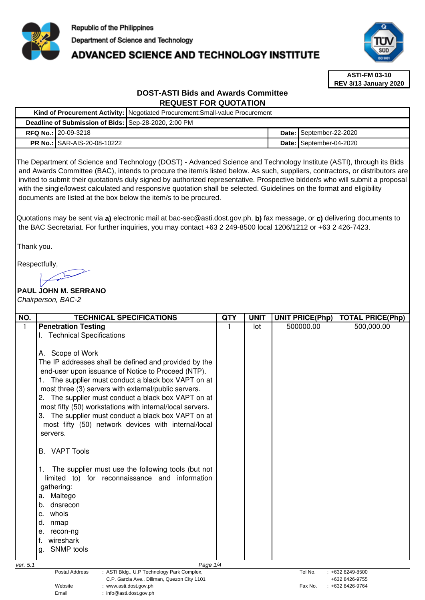

## **ADVANCED SCIENCE AND TECHNOLOGY INSTITUTE**



**ASTI-FM 03-10 REV 3/13 January 2020**

## **DOST-ASTI Bids and Awards Committee REQUEST FOR QUOTATION**

|                                                      |                                      | Kind of Procurement Activity:   Negotiated Procurement: Small-value Procurement |  |                         |
|------------------------------------------------------|--------------------------------------|---------------------------------------------------------------------------------|--|-------------------------|
| Deadline of Submission of Bids: Sep-28-2020, 2:00 PM |                                      |                                                                                 |  |                         |
|                                                      | RFQ No.: 20-09-3218                  |                                                                                 |  | Date: September-22-2020 |
|                                                      | <b>PR No.: I</b> SAR-AIS-20-08-10222 |                                                                                 |  | Date: September-04-2020 |

The Department of Science and Technology (DOST) - Advanced Science and Technology Institute (ASTI), through its Bids and Awards Committee (BAC), intends to procure the item/s listed below. As such, suppliers, contractors, or distributors are invited to submit their quotation/s duly signed by authorized representative. Prospective bidder/s who will submit a proposal with the single/lowest calculated and responsive quotation shall be selected. Guidelines on the format and eligibility documents are listed at the box below the item/s to be procured.

Quotations may be sent via **a)** electronic mail at bac-sec@asti.dost.gov.ph, **b)** fax message, or **c)** delivering documents to the BAC Secretariat. For further inquiries, you may contact +63 2 249-8500 local 1206/1212 or +63 2 426-7423.

Thank you.

Respectfully,

# **PAUL JOHN M. SERRANO**

Email : info@asti.dost.gov.ph

Chairperson, BAC-2

| NO.          | <b>TECHNICAL SPECIFICATIONS</b>                                                 | <b>QTY</b> | <b>UNIT</b> | <b>UNIT PRICE(Php)</b> | <b>TOTAL PRICE(Php)</b> |
|--------------|---------------------------------------------------------------------------------|------------|-------------|------------------------|-------------------------|
| $\mathbf{1}$ | <b>Penetration Testing</b>                                                      |            | lot         | 500000.00              | 500,000.00              |
|              | <b>Technical Specifications</b>                                                 |            |             |                        |                         |
|              |                                                                                 |            |             |                        |                         |
|              | Scope of Work<br>А.                                                             |            |             |                        |                         |
|              | The IP addresses shall be defined and provided by the                           |            |             |                        |                         |
|              | end-user upon issuance of Notice to Proceed (NTP).                              |            |             |                        |                         |
|              | The supplier must conduct a black box VAPT on at                                |            |             |                        |                         |
|              | most three (3) servers with external/public servers.                            |            |             |                        |                         |
|              | The supplier must conduct a black box VAPT on at                                |            |             |                        |                         |
|              | most fifty (50) workstations with internal/local servers.                       |            |             |                        |                         |
|              | 3. The supplier must conduct a black box VAPT on at                             |            |             |                        |                         |
|              | most fifty (50) network devices with internal/local                             |            |             |                        |                         |
|              | servers.                                                                        |            |             |                        |                         |
|              |                                                                                 |            |             |                        |                         |
|              | <b>VAPT Tools</b><br>В.                                                         |            |             |                        |                         |
|              |                                                                                 |            |             |                        |                         |
|              | The supplier must use the following tools (but not<br>1.                        |            |             |                        |                         |
|              | limited to) for reconnaissance and information                                  |            |             |                        |                         |
|              | gathering:                                                                      |            |             |                        |                         |
|              | Maltego<br>а.                                                                   |            |             |                        |                         |
|              | dnsrecon<br>b.                                                                  |            |             |                        |                         |
|              | whois<br>c.                                                                     |            |             |                        |                         |
|              | d.<br>nmap                                                                      |            |             |                        |                         |
|              | recon-ng<br>е.                                                                  |            |             |                        |                         |
|              | wireshark<br>f.                                                                 |            |             |                        |                         |
|              | <b>SNMP</b> tools<br>g.                                                         |            |             |                        |                         |
|              |                                                                                 |            |             |                        |                         |
| ver. 5.1     | Page 1/4<br><b>Postal Address</b><br>: ASTI Bldg., U.P Technology Park Complex, |            |             | Tel No.                | $: +6328249 - 8500$     |
|              | C.P. Garcia Ave., Diliman, Quezon City 1101                                     |            |             |                        | +632 8426-9755          |
|              | Website<br>: www.asti.dost.gov.ph                                               |            |             | Fax No.                | +632 8426-9764          |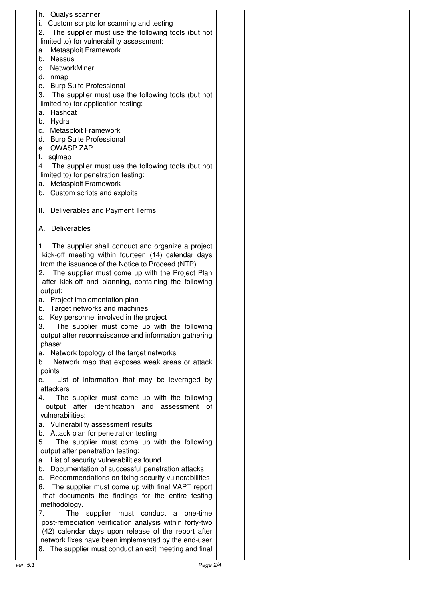|          | h. Qualys scanner                                            |  |
|----------|--------------------------------------------------------------|--|
|          | Custom scripts for scanning and testing<br>i.                |  |
|          | 2.<br>The supplier must use the following tools (but not     |  |
|          | limited to) for vulnerability assessment:                    |  |
|          | Metasploit Framework<br>a.                                   |  |
|          | b. Nessus                                                    |  |
|          | c. NetworkMiner                                              |  |
|          | d. nmap                                                      |  |
|          | e. Burp Suite Professional                                   |  |
|          | 3. The supplier must use the following tools (but not        |  |
|          | limited to) for application testing:                         |  |
|          | a. Hashcat                                                   |  |
|          | b. Hydra                                                     |  |
|          | c. Metasploit Framework                                      |  |
|          | d. Burp Suite Professional                                   |  |
|          | e. OWASP ZAP                                                 |  |
|          | f.<br>sqlmap                                                 |  |
|          | 4.<br>The supplier must use the following tools (but not     |  |
|          | limited to) for penetration testing:                         |  |
|          | a. Metasploit Framework                                      |  |
|          | b. Custom scripts and exploits                               |  |
|          |                                                              |  |
|          | II. Deliverables and Payment Terms                           |  |
|          |                                                              |  |
|          | Deliverables<br>А.                                           |  |
|          |                                                              |  |
|          | The supplier shall conduct and organize a project<br>1.      |  |
|          | kick-off meeting within fourteen (14) calendar days          |  |
|          | from the issuance of the Notice to Proceed (NTP).            |  |
|          | The supplier must come up with the Project Plan<br>2.        |  |
|          | after kick-off and planning, containing the following        |  |
|          | output:                                                      |  |
|          | a. Project implementation plan                               |  |
|          | b. Target networks and machines                              |  |
|          | Key personnel involved in the project<br>c.                  |  |
|          | 3.<br>The supplier must come up with the following           |  |
|          | output after reconnaissance and information gathering        |  |
|          | phase:                                                       |  |
|          | Network topology of the target networks<br>a.                |  |
|          | Network map that exposes weak areas or attack<br>b.          |  |
|          | points                                                       |  |
|          | List of information that may be leveraged by<br>C.           |  |
|          | attackers                                                    |  |
|          | The supplier must come up with the following<br>4.           |  |
|          | after<br>identification<br>and<br>output<br>assessment<br>of |  |
|          | vulnerabilities:                                             |  |
|          | a. Vulnerability assessment results                          |  |
|          | Attack plan for penetration testing<br>b.                    |  |
|          | 5.<br>The supplier must come up with the following           |  |
|          | output after penetration testing:                            |  |
|          | List of security vulnerabilities found<br>а.                 |  |
|          | b. Documentation of successful penetration attacks           |  |
|          | c. Recommendations on fixing security vulnerabilities        |  |
|          | The supplier must come up with final VAPT report<br>6.       |  |
|          | that documents the findings for the entire testing           |  |
|          | methodology.                                                 |  |
|          | 7.<br>supplier must conduct<br>The<br>one-time<br>a          |  |
|          | post-remediation verification analysis within forty-two      |  |
|          | (42) calendar days upon release of the report after          |  |
|          | network fixes have been implemented by the end-user.         |  |
|          | The supplier must conduct an exit meeting and final<br>8.    |  |
|          |                                                              |  |
| ver. 5.1 | Page 2/4                                                     |  |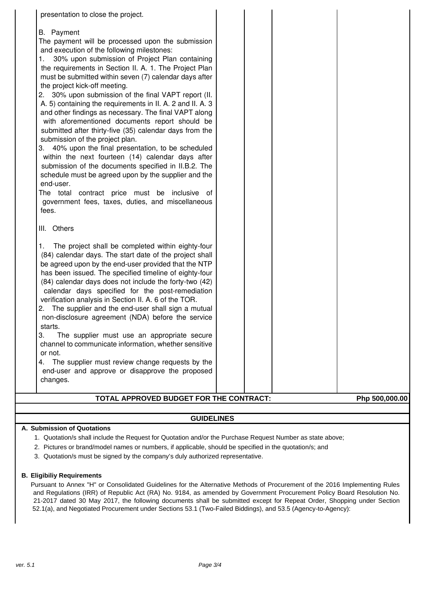| presentation to close the project.                                                                                                                                                                                                                                                                                                                                                                                                                                                                                                                                                                                                                                                                                                                                                                                                                                                                                                                                                                                    |  |                |
|-----------------------------------------------------------------------------------------------------------------------------------------------------------------------------------------------------------------------------------------------------------------------------------------------------------------------------------------------------------------------------------------------------------------------------------------------------------------------------------------------------------------------------------------------------------------------------------------------------------------------------------------------------------------------------------------------------------------------------------------------------------------------------------------------------------------------------------------------------------------------------------------------------------------------------------------------------------------------------------------------------------------------|--|----------------|
| <b>B.</b> Payment<br>The payment will be processed upon the submission<br>and execution of the following milestones:<br>30% upon submission of Project Plan containing<br>the requirements in Section II. A. 1. The Project Plan<br>must be submitted within seven (7) calendar days after<br>the project kick-off meeting.<br>2. 30% upon submission of the final VAPT report (II.<br>A. 5) containing the requirements in II. A. 2 and II. A. 3<br>and other findings as necessary. The final VAPT along<br>with aforementioned documents report should be<br>submitted after thirty-five (35) calendar days from the<br>submission of the project plan.<br>40% upon the final presentation, to be scheduled<br>З.<br>within the next fourteen (14) calendar days after<br>submission of the documents specified in II.B.2. The<br>schedule must be agreed upon by the supplier and the<br>end-user.<br>The total contract price must be inclusive of<br>government fees, taxes, duties, and miscellaneous<br>fees. |  |                |
| III. Others<br>The project shall be completed within eighty-four<br>1.<br>(84) calendar days. The start date of the project shall<br>be agreed upon by the end-user provided that the NTP<br>has been issued. The specified timeline of eighty-four<br>(84) calendar days does not include the forty-two (42)<br>calendar days specified for the post-remediation<br>verification analysis in Section II. A. 6 of the TOR.<br>The supplier and the end-user shall sign a mutual<br>2.<br>non-disclosure agreement (NDA) before the service<br>starts.<br>3.<br>The supplier must use an appropriate secure<br>channel to communicate information, whether sensitive<br>or not.<br>The supplier must review change requests by the<br>4.<br>end-user and approve or disapprove the proposed<br>changes.                                                                                                                                                                                                                |  |                |
| TOTAL APPROVED BUDGET FOR THE CONTRACT:                                                                                                                                                                                                                                                                                                                                                                                                                                                                                                                                                                                                                                                                                                                                                                                                                                                                                                                                                                               |  | Php 500,000.00 |
|                                                                                                                                                                                                                                                                                                                                                                                                                                                                                                                                                                                                                                                                                                                                                                                                                                                                                                                                                                                                                       |  |                |

### **GUIDELINES**

#### **A. Submission of Quotations**

- 1. Quotation/s shall include the Request for Quotation and/or the Purchase Request Number as state above;
- 2. Pictures or brand/model names or numbers, if applicable, should be specified in the quotation/s; and
- 3. Quotation/s must be signed by the company's duly authorized representative.

#### **B. Eligibiliy Requirements**

Pursuant to Annex "H" or Consolidated Guidelines for the Alternative Methods of Procurement of the 2016 Implementing Rules and Regulations (IRR) of Republic Act (RA) No. 9184, as amended by Government Procurement Policy Board Resolution No. 21-2017 dated 30 May 2017, the following documents shall be submitted except for Repeat Order, Shopping under Section 52.1(a), and Negotiated Procurement under Sections 53.1 (Two-Failed Biddings), and 53.5 (Agency-to-Agency):